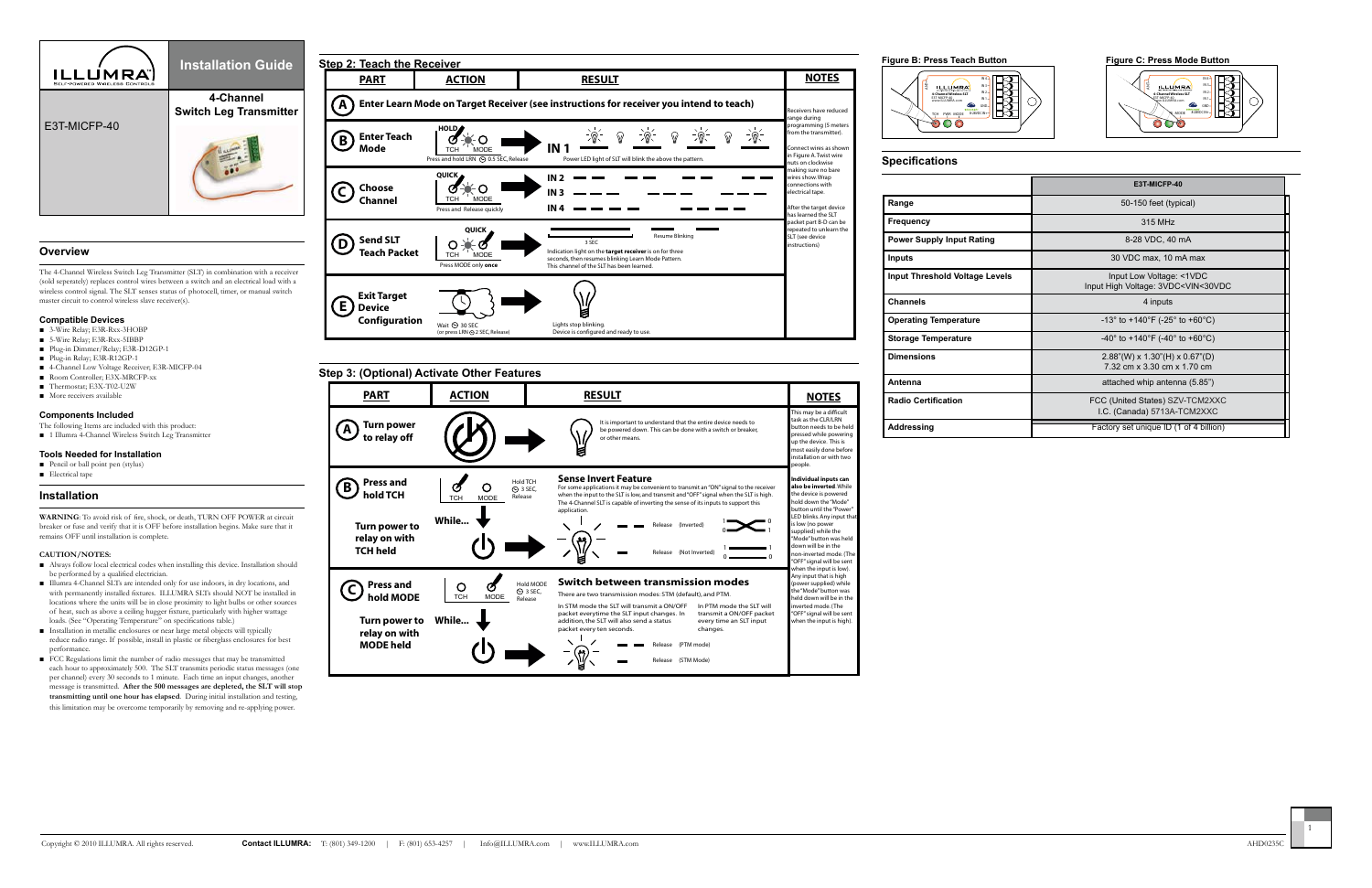



|                                  | E3T-MICFP-40                                                                         |
|----------------------------------|--------------------------------------------------------------------------------------|
| Range                            | 50-150 feet (typical)                                                                |
| Frequency                        | 315 MHz                                                                              |
| <b>Power Supply Input Rating</b> | 8-28 VDC, 40 mA                                                                      |
| Inputs                           | 30 VDC max, 10 mA max                                                                |
| Input Threshold Voltage Levels   | Input Low Voltage: <1VDC<br>Input High Voltage: 3VDC <vin<30vdc< th=""></vin<30vdc<> |
| Channels                         | 4 inputs                                                                             |
| <b>Operating Temperature</b>     | -13° to +140°F (-25° to +60°C)                                                       |
| <b>Storage Temperature</b>       | -40° to +140°F (-40° to +60°C)                                                       |
| <b>Dimensions</b>                | $2.88$ "(W) x 1.30"(H) x 0.67"(D)<br>7.32 cm x 3.30 cm x 1.70 cm                     |
| Antenna                          | attached whip antenna (5.85")                                                        |
| <b>Radio Certification</b>       | FCC (United States) SZV-TCM2XXC<br>I.C. (Canada) 5713A-TCM2XXC                       |
| Addressing                       | Factory set unique ID (1 of 4 billion)                                               |

- The following Items are included with this product:
- 1 Illumra 4-Channel Wireless Switch Leg Transmitter



# **Overview**

The 4-Channel Wireless Switch Leg Transmitter (SLT) in combination with a receiver (sold seperately) replaces control wires between a switch and an electrical load with a wireless control signal. The SLT senses status of photocell, timer, or manual switch master circuit to control wireless slave receiver(s).

#### **Compatible Devices**

- 3-Wire Relay; E3R-Rxx-3HOBP
- 5-Wire Relay; E3R-Rxx-5IBBP
- Plug-in Dimmer/Relay; E3R-D12GP-1
- Plug-in Relay; E3R-R12GP-1
- 4-Channel Low Voltage Receiver; E3R-MICFP-04
- Room Controller; E3X-MRCFP-xx
- Thermostat; E3X-T02-U2W
- More receivers available

### **Components Included**

- Always follow local electrical codes when installing this device. Installation should be performed by a qualified electrician.
- Illumra 4-Channel SLTs are intended only for use indoors, in dry locations, and with permanently installed fixtures. ILLUMRA SLTs should NOT be installed in locations where the units will be in close proximity to light bulbs or other sources of heat, such as above a ceiling hugger fixture, particularly with higher wattage loads. (See "Operating Temperature" on specifications table.)
- Installation in metallic enclosures or near large metal objects will typically reduce radio range. If possible, install in plastic or fiberglass enclosures for best performance.
- FCC Regulations limit the number of radio messages that may be transmitted each hour to approximately 500. The SLT transmits periodic status messages (one per channel) every 30 seconds to 1 minute. Each time an input changes, another message is transmitted. **After the 500 messages are depleted, the SLT will stop transmitting until one hour has elapsed**. During initial installation and testing, this limitation may be overcome temporarily by removing and re-applying power.

### **Tools Needed for Installation**

- Pencil or ball point pen (stylus)
- Electrical tape

### **Installation**

**WARNING**: To avoid risk of fire, shock, or death, TURN OFF POWER at circuit breaker or fuse and verify that it is OFF before installation begins. Make sure that it remains OFF until installation is complete.

#### **CAUTION/NOTES:**



**relay on with TCH held**

Release (Not Inverted)

1  $0 \longrightarrow 0$ 

Release (PTM mode) Release (STM Mode)

In STM mode the SLT will transmit a ON/OFF In PTM mode the SLT will

There are two transmission modes: STM (default), and PTM. **Switch between transmission modes**

> transmit a ON/OFF packet every time an SLT input

changes.

 $\sum$  1

oplied) while the Mode" button was hel own will be in the n-inverted mode. ( .<br>DFF" signal will be sen hen the input is low). ny input that is high wer supplied) while ne "Mode" button was eld down will be in th inverted mode. (The "OFF" signal will be sent when the input is high).

packet everytime the SLT input changes. In addition, the SLT will also send a status packet every ten seconds.

**Press and** 

**relay on with MODE held**

**C**) Press and  $\bigcup_{\text{TCH}}$  **CCH** MODE

**Turn power to While...**

Hold MODE  $\odot$  3 SEC, Release

گم)

 $\left(\frac{1}{12}\right)$ 

TCH PWR MODE

000

IN 4

GND 8-28VDC IN+

ANT

**4-Channel Wireless SLT** E3T-MICFP-40 www.ILLUMRA.com

**ILLUMRA** 

IN 3 IN 2 IN 1